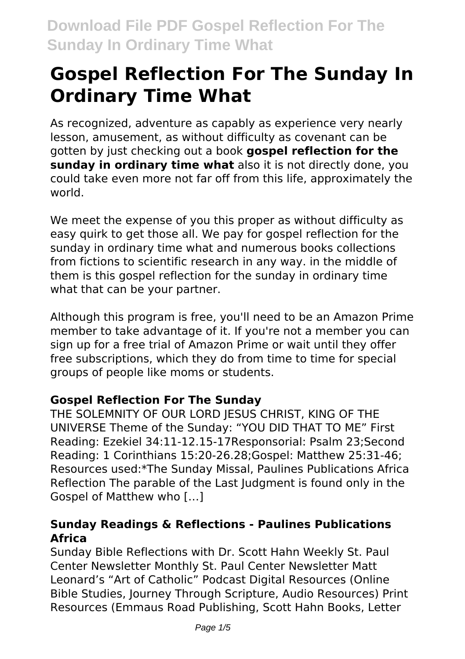# **Gospel Reflection For The Sunday In Ordinary Time What**

As recognized, adventure as capably as experience very nearly lesson, amusement, as without difficulty as covenant can be gotten by just checking out a book **gospel reflection for the sunday in ordinary time what** also it is not directly done, you could take even more not far off from this life, approximately the world.

We meet the expense of you this proper as without difficulty as easy quirk to get those all. We pay for gospel reflection for the sunday in ordinary time what and numerous books collections from fictions to scientific research in any way. in the middle of them is this gospel reflection for the sunday in ordinary time what that can be your partner.

Although this program is free, you'll need to be an Amazon Prime member to take advantage of it. If you're not a member you can sign up for a free trial of Amazon Prime or wait until they offer free subscriptions, which they do from time to time for special groups of people like moms or students.

# **Gospel Reflection For The Sunday**

THE SOLEMNITY OF OUR LORD IESUS CHRIST, KING OF THE UNIVERSE Theme of the Sunday: "YOU DID THAT TO ME" First Reading: Ezekiel 34:11-12.15-17Responsorial: Psalm 23;Second Reading: 1 Corinthians 15:20-26.28;Gospel: Matthew 25:31-46; Resources used:\*The Sunday Missal, Paulines Publications Africa Reflection The parable of the Last Judgment is found only in the Gospel of Matthew who […]

#### **Sunday Readings & Reflections - Paulines Publications Africa**

Sunday Bible Reflections with Dr. Scott Hahn Weekly St. Paul Center Newsletter Monthly St. Paul Center Newsletter Matt Leonard's "Art of Catholic" Podcast Digital Resources (Online Bible Studies, Journey Through Scripture, Audio Resources) Print Resources (Emmaus Road Publishing, Scott Hahn Books, Letter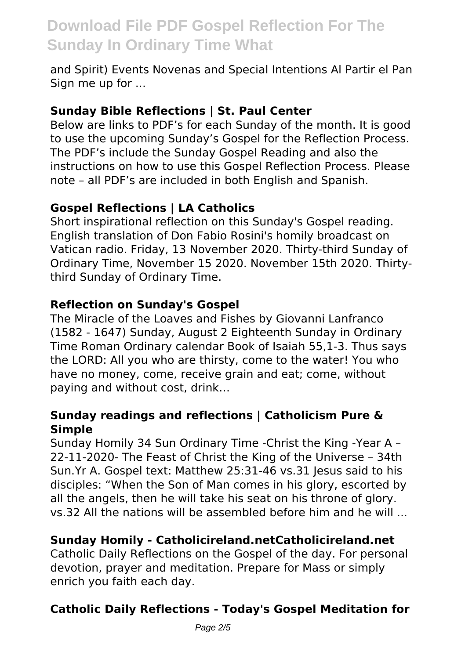and Spirit) Events Novenas and Special Intentions Al Partir el Pan Sign me up for ...

#### **Sunday Bible Reflections | St. Paul Center**

Below are links to PDF's for each Sunday of the month. It is good to use the upcoming Sunday's Gospel for the Reflection Process. The PDF's include the Sunday Gospel Reading and also the instructions on how to use this Gospel Reflection Process. Please note – all PDF's are included in both English and Spanish.

### **Gospel Reflections | LA Catholics**

Short inspirational reflection on this Sunday's Gospel reading. English translation of Don Fabio Rosini's homily broadcast on Vatican radio. Friday, 13 November 2020. Thirty-third Sunday of Ordinary Time, November 15 2020. November 15th 2020. Thirtythird Sunday of Ordinary Time.

#### **Reflection on Sunday's Gospel**

The Miracle of the Loaves and Fishes by Giovanni Lanfranco (1582 - 1647) Sunday, August 2 Eighteenth Sunday in Ordinary Time Roman Ordinary calendar Book of Isaiah 55,1-3. Thus says the LORD: All you who are thirsty, come to the water! You who have no money, come, receive grain and eat; come, without paying and without cost, drink…

#### **Sunday readings and reflections | Catholicism Pure & Simple**

Sunday Homily 34 Sun Ordinary Time -Christ the King -Year A – 22-11-2020- The Feast of Christ the King of the Universe – 34th Sun.Yr A. Gospel text: Matthew 25:31-46 vs.31 Jesus said to his disciples: "When the Son of Man comes in his glory, escorted by all the angels, then he will take his seat on his throne of glory. vs.32 All the nations will be assembled before him and he will ...

# **Sunday Homily - Catholicireland.netCatholicireland.net**

Catholic Daily Reflections on the Gospel of the day. For personal devotion, prayer and meditation. Prepare for Mass or simply enrich you faith each day.

# **Catholic Daily Reflections - Today's Gospel Meditation for**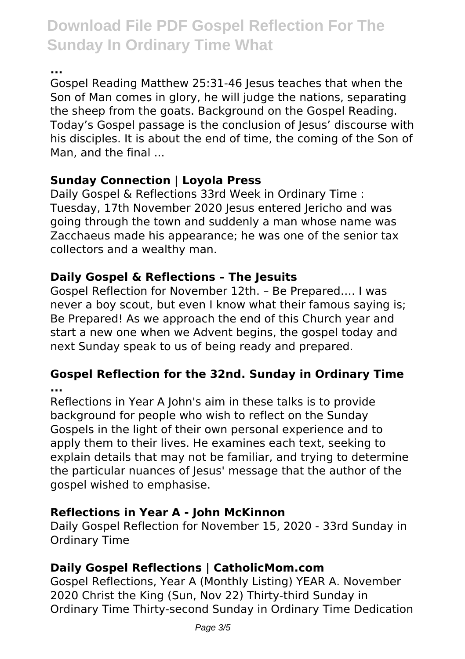**...**

Gospel Reading Matthew 25:31-46 Jesus teaches that when the Son of Man comes in glory, he will judge the nations, separating the sheep from the goats. Background on the Gospel Reading. Today's Gospel passage is the conclusion of Jesus' discourse with his disciples. It is about the end of time, the coming of the Son of Man, and the final ...

# **Sunday Connection | Loyola Press**

Daily Gospel & Reflections 33rd Week in Ordinary Time : Tuesday, 17th November 2020 Jesus entered Jericho and was going through the town and suddenly a man whose name was Zacchaeus made his appearance; he was one of the senior tax collectors and a wealthy man.

# **Daily Gospel & Reflections – The Jesuits**

Gospel Reflection for November 12th. – Be Prepared…. I was never a boy scout, but even I know what their famous saying is; Be Prepared! As we approach the end of this Church year and start a new one when we Advent begins, the gospel today and next Sunday speak to us of being ready and prepared.

# **Gospel Reflection for the 32nd. Sunday in Ordinary Time ...**

Reflections in Year A John's aim in these talks is to provide background for people who wish to reflect on the Sunday Gospels in the light of their own personal experience and to apply them to their lives. He examines each text, seeking to explain details that may not be familiar, and trying to determine the particular nuances of Jesus' message that the author of the gospel wished to emphasise.

# **Reflections in Year A - John McKinnon**

Daily Gospel Reflection for November 15, 2020 - 33rd Sunday in Ordinary Time

# **Daily Gospel Reflections | CatholicMom.com**

Gospel Reflections, Year A (Monthly Listing) YEAR A. November 2020 Christ the King (Sun, Nov 22) Thirty-third Sunday in Ordinary Time Thirty-second Sunday in Ordinary Time Dedication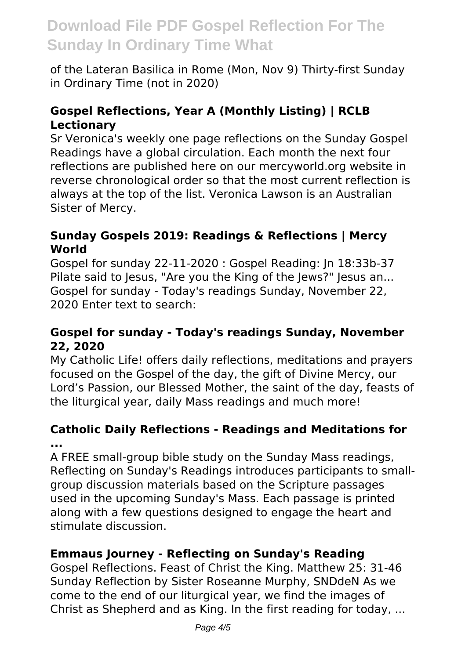of the Lateran Basilica in Rome (Mon, Nov 9) Thirty-first Sunday in Ordinary Time (not in 2020)

### **Gospel Reflections, Year A (Monthly Listing) | RCLB Lectionary**

Sr Veronica's weekly one page reflections on the Sunday Gospel Readings have a global circulation. Each month the next four reflections are published here on our mercyworld.org website in reverse chronological order so that the most current reflection is always at the top of the list. Veronica Lawson is an Australian Sister of Mercy.

#### **Sunday Gospels 2019: Readings & Reflections | Mercy World**

Gospel for sunday 22-11-2020 : Gospel Reading: Jn 18:33b-37 Pilate said to Jesus, "Are you the King of the Jews?" Jesus an... Gospel for sunday - Today's readings Sunday, November 22, 2020 Enter text to search:

### **Gospel for sunday - Today's readings Sunday, November 22, 2020**

My Catholic Life! offers daily reflections, meditations and prayers focused on the Gospel of the day, the gift of Divine Mercy, our Lord's Passion, our Blessed Mother, the saint of the day, feasts of the liturgical year, daily Mass readings and much more!

#### **Catholic Daily Reflections - Readings and Meditations for ...**

A FREE small-group bible study on the Sunday Mass readings, Reflecting on Sunday's Readings introduces participants to smallgroup discussion materials based on the Scripture passages used in the upcoming Sunday's Mass. Each passage is printed along with a few questions designed to engage the heart and stimulate discussion.

#### **Emmaus Journey - Reflecting on Sunday's Reading**

Gospel Reflections. Feast of Christ the King. Matthew 25: 31-46 Sunday Reflection by Sister Roseanne Murphy, SNDdeN As we come to the end of our liturgical year, we find the images of Christ as Shepherd and as King. In the first reading for today, ...